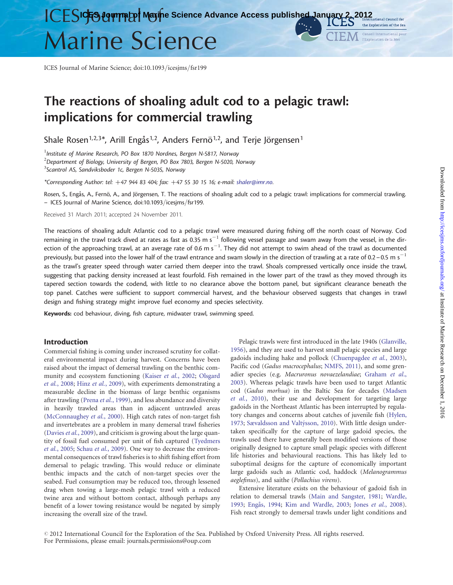# Marine Science

ICES Journal of Marine Science; doi:10.1093/icesjms/fsr199

# The reactions of shoaling adult cod to a pelagic trawl: implications for commercial trawling

Shale Rosen<sup>1,2,3\*</sup>, Arill Engås<sup>1,2</sup>, Anders Fernö<sup>1,2</sup>, and Terje Jörgensen<sup>1</sup>

<sup>1</sup>Institute of Marine Research, PO Box 1870 Nordnes, Bergen N-5817, Norway

 $2$ Department of Biology, University of Bergen, PO Box 7803, Bergen N-5020, Norway

<sup>3</sup>Scantrol AS, Sandviksboder 1c, Bergen N-5035, Norway

\*Corresponding Author: tel: +47 944 83 404; fax: +47 55 30 15 16; e-mail: [shaler@imr.no.](mailto:shaler@imr.no)

Rosen, S., Engås, A., Fernö, A., and Jörgensen, T. The reactions of shoaling adult cod to a pelagic trawl: implications for commercial trawling. – ICES Journal of Marine Science, doi:10.1093/icesjms/fsr199.

Received 31 March 2011; accepted 24 November 2011.

The reactions of shoaling adult Atlantic cod to a pelagic trawl were measured during fishing off the north coast of Norway. Cod remaining in the trawl track dived at rates as fast as 0.35 m s<sup>-1</sup> following vessel passage and swam away from the vessel, in the direction of the approaching trawl, at an average rate of 0.6 m s $^{-1}$ . They did not attempt to swim ahead of the trawl as documented previously, but passed into the lower half of the trawl entrance and swam slowly in the direction of trawling at a rate of 0.2–0.5 m s<sup>-1</sup> as the trawl's greater speed through water carried them deeper into the trawl. Shoals compressed vertically once inside the trawl, suggesting that packing density increased at least fourfold. Fish remained in the lower part of the trawl as they moved through its tapered section towards the codend, with little to no clearance above the bottom panel, but significant clearance beneath the top panel. Catches were sufficient to support commercial harvest, and the behaviour observed suggests that changes in trawl design and fishing strategy might improve fuel economy and species selectivity.

Keywords: cod behaviour, diving, fish capture, midwater trawl, swimming speed.

## Introduction

Commercial fishing is coming under increased scrutiny for collateral environmental impact during harvest. Concerns have been raised about the impact of demersal trawling on the benthic community and ecosystem functioning (Kaiser et al.[, 2002;](#page-9-0) [Olsgard](#page-9-0) et al.[, 2008](#page-9-0); Hinz et al.[, 2009](#page-9-0)), with experiments demonstrating a measurable decline in the biomass of large benthic organisms after trawling [\(Prena](#page-9-0) et al., 1999), and less abundance and diversity in heavily trawled areas than in adjacent untrawled areas ([McConnaughey](#page-9-0) et al., 2000). High catch rates of non-target fish and invertebrates are a problem in many demersal trawl fisheries ([Davies](#page-8-0) et al., 2009), and criticism is growing about the large quantity of fossil fuel consumed per unit of fish captured [\(Tyedmers](#page-9-0) et al.[, 2005;](#page-9-0) Schau et al.[, 2009](#page-9-0)). One way to decrease the environmental consequences of trawl fisheries is to shift fishing effort from demersal to pelagic trawling. This would reduce or eliminate benthic impacts and the catch of non-target species over the seabed. Fuel consumption may be reduced too, through lessened drag when towing a large-mesh pelagic trawl with a reduced twine area and without bottom contact, although perhaps any benefit of a lower towing resistance would be negated by simply increasing the overall size of the trawl.

Pelagic trawls were first introduced in the late 1940s ([Glanville,](#page-8-0) [1956](#page-8-0)), and they are used to harvest small pelagic species and large gadoids including hake and pollock [\(Chuenpagdee](#page-8-0) et al., 2003), Pacific cod (Gadus macrocephalus; [NMFS, 2011](#page-9-0)), and some grenadier species (e.g. Macruronus novaezelandiae; [Graham](#page-9-0) et al., [2003](#page-9-0)). Whereas pelagic trawls have been used to target Atlantic cod (Gadus morhua) in the Baltic Sea for decades [\(Madsen](#page-9-0) et al.[, 2010](#page-9-0)), their use and development for targeting large gadoids in the Northeast Atlantic has been interrupted by regulatory changes and concerns about catches of juvenile fish [\(Hylen,](#page-9-0) [1973](#page-9-0); Sævaldsson and Valtýsson, 2010). With little design undertaken specifically for the capture of large gadoid species, the trawls used there have generally been modified versions of those originally designed to capture small pelagic species with different life histories and behavioural reactions. This has likely led to suboptimal designs for the capture of economically important large gadoids such as Atlantic cod, haddock (Melanogrammus aeglefinus), and saithe (Pollachius virens).

Extensive literature exists on the behaviour of gadoid fish in relation to demersal trawls ([Main and Sangster, 1981](#page-9-0); [Wardle,](#page-9-0) [1993](#page-9-0); Engås, 1994; [Kim and Wardle, 2003](#page-9-0); Jones et al.[, 2008](#page-9-0)). Fish react strongly to demersal trawls under light conditions and

 $\odot$  2012 International Council for the Exploration of the Sea. Published by Oxford University Press. All rights reserved. For Permissions, please email: journals.permissions@oup.com

tional Council for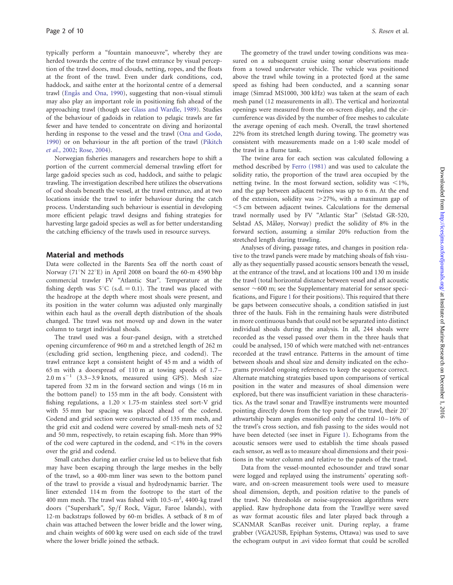typically perform a "fountain manoeuvre", whereby they are herded towards the centre of the trawl entrance by visual perception of the trawl doors, mud clouds, netting, ropes, and the floats at the front of the trawl. Even under dark conditions, cod, haddock, and saithe enter at the horizontal centre of a demersal trawl (Engås and Ona, 1990), suggesting that non-visual stimuli may also play an important role in positioning fish ahead of the approaching trawl (though see [Glass and Wardle, 1989\)](#page-8-0). Studies of the behaviour of gadoids in relation to pelagic trawls are far fewer and have tended to concentrate on diving and horizontal herding in response to the vessel and the trawl ([Ona and Godø,](#page-9-0) [1990\)](#page-9-0) or on behaviour in the aft portion of the trawl ([Pikitch](#page-9-0) et al.[, 2002](#page-9-0); [Rose, 2004](#page-9-0)).

Norwegian fisheries managers and researchers hope to shift a portion of the current commercial demersal trawling effort for large gadoid species such as cod, haddock, and saithe to pelagic trawling. The investigation described here utilizes the observations of cod shoals beneath the vessel, at the trawl entrance, and at two locations inside the trawl to infer behaviour during the catch process. Understanding such behaviour is essential in developing more efficient pelagic trawl designs and fishing strategies for harvesting large gadoid species as well as for better understanding the catching efficiency of the trawls used in resource surveys.

## Material and methods

Data were collected in the Barents Sea off the north coast of Norway (71 $\mathrm{N}$  22 $\mathrm{E}$ ) in April 2008 on board the 60-m 4590 bhp commercial trawler FV "Atlantic Star". Temperature at the fishing depth was  $5^{\circ}$ C (s.d. = 0.1). The trawl was placed with the headrope at the depth where most shoals were present, and its position in the water column was adjusted only marginally within each haul as the overall depth distribution of the shoals changed. The trawl was not moved up and down in the water column to target individual shoals.

The trawl used was a four-panel design, with a stretched opening circumference of 960 m and a stretched length of 262 m (excluding grid section, lengthening piece, and codend). The trawl entrance kept a consistent height of 45 m and a width of 65 m with a doorspread of 110 m at towing speeds of 1.7 – 2.0 m s<sup> $-1$ </sup> (3.3–3.9 knots, measured using GPS). Mesh size tapered from 32 m in the forward section and wings (16 m in the bottom panel) to 155 mm in the aft body. Consistent with fishing regulations, a  $1.20 \times 1.75$ -m stainless steel sort-V grid with 55 mm bar spacing was placed ahead of the codend. Codend and grid section were constructed of 135 mm mesh, and the grid exit and codend were covered by small-mesh nets of 52 and 50 mm, respectively, to retain escaping fish. More than 99% of the cod were captured in the codend, and  $\leq$ 1% in the covers over the grid and codend.

Small catches during an earlier cruise led us to believe that fish may have been escaping through the large meshes in the belly of the trawl, so a 400-mm liner was sewn to the bottom panel of the trawl to provide a visual and hydrodynamic barrier. The liner extended 114 m from the footrope to the start of the 400 mm mesh. The trawl was fished with  $10.5\text{-m}^2$ , 4400-kg trawl doors ("Supershark", Sp/f Rock, Vágur, Faroe Islands), with 12-m backstraps followed by 60-m bridles. A setback of 8 m of chain was attached between the lower bridle and the lower wing, and chain weights of 600 kg were used on each side of the trawl where the lower bridle joined the setback.

The geometry of the trawl under towing conditions was measured on a subsequent cruise using sonar observations made from a towed underwater vehicle. The vehicle was positioned above the trawl while towing in a protected fjord at the same speed as fishing had been conducted, and a scanning sonar image (Simrad MS1000, 300 kHz) was taken at the seam of each mesh panel (12 measurements in all). The vertical and horizontal openings were measured from the on-screen display, and the circumference was divided by the number of free meshes to calculate the average opening of each mesh. Overall, the trawl shortened 22% from its stretched length during towing. The geometry was consistent with measurements made on a 1:40 scale model of the trawl in a flume tank.

The twine area for each section was calculated following a method described by [Ferro \(1981\)](#page-8-0) and was used to calculate the solidity ratio, the proportion of the trawl area occupied by the netting twine. In the most forward section, solidity was  $\leq 1\%$ , and the gap between adjacent twines was up to 6 m. At the end of the extension, solidity was  $>27\%$ , with a maximum gap of  $<$  5 cm between adjacent twines. Calculations for the demersal trawl normally used by FV "Atlantic Star" (Selstad GR-520, Selstad AS, Måløy, Norway) predict the solidity of 8% in the forward section, assuming a similar 20% reduction from the stretched length during trawling.

Analyses of diving, passage rates, and changes in position relative to the trawl panels were made by matching shoals of fish visually as they sequentially passed acoustic sensors beneath the vessel, at the entrance of the trawl, and at locations 100 and 130 m inside the trawl (total horizontal distance between vessel and aft acoustic  $sensor \sim 600$  m; see the [Supplementary material](http://icesjms.oxfordjournals.org/lookup/suppl/doi:10.1093/icesjms/fsr199/-/DC1) for sensor specifications, and Figure [1](#page-2-0) for their positions). This required that there be gaps between consecutive shoals, a condition satisfied in just three of the hauls. Fish in the remaining hauls were distributed in more continuous bands that could not be separated into distinct individual shoals during the analysis. In all, 244 shoals were recorded as the vessel passed over them in the three hauls that could be analysed, 150 of which were matched with net-entrances recorded at the trawl entrance. Patterns in the amount of time between shoals and shoal size and density indicated on the echograms provided ongoing references to keep the sequence correct. Alternate matching strategies based upon comparisons of vertical position in the water and measures of shoal dimension were explored, but there was insufficient variation in these characteristics. As the trawl sonar and TrawlEye instruments were mounted pointing directly down from the top panel of the trawl, their  $20^\circ$ athwartship beam angles ensonified only the central 10 –16% of the trawl's cross section, and fish passing to the sides would not have been detected (see inset in Figure [1\)](#page-2-0). Echograms from the acoustic sensors were used to establish the time shoals passed each sensor, as well as to measure shoal dimensions and their positions in the water column and relative to the panels of the trawl.

Data from the vessel-mounted echosounder and trawl sonar were logged and replayed using the instruments' operating software, and on-screen measurement tools were used to measure shoal dimension, depth, and position relative to the panels of the trawl. No thresholds or noise-suppression algorithms were applied. Raw hydrophone data from the TrawlEye were saved as wav format acoustic files and later played back through a SCANMAR ScanBas receiver unit. During replay, a frame grabber (VGA2USB, Epiphan Systems, Ottawa) was used to save the echogram output in .avi video format that could be scrolled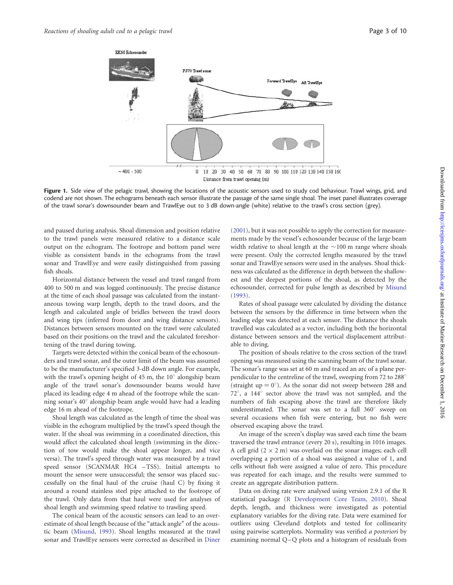<span id="page-2-0"></span>

Figure 1. Side view of the pelagic trawl, showing the locations of the acoustic sensors used to study cod behaviour. Trawl wings, grid, and codend are not shown. The echograms beneath each sensor illustrate the passage of the same single shoal. The inset panel illustrates coverage of the trawl sonar's downsounder beam and TrawlEye out to 3 dB down-angle (white) relative to the trawl's cross section (grey).

and paused during analysis. Shoal dimension and position relative to the trawl panels were measured relative to a distance scale output on the echogram. The footrope and bottom panel were visible as consistent bands in the echograms from the trawl sonar and TrawlEye and were easily distinguished from passing fish shoals.

Horizontal distance between the vessel and trawl ranged from 400 to 500 m and was logged continuously. The precise distance at the time of each shoal passage was calculated from the instantaneous towing warp length, depth to the trawl doors, and the length and calculated angle of bridles between the trawl doors and wing tips (inferred from door and wing distance sensors). Distances between sensors mounted on the trawl were calculated based on their positions on the trawl and the calculated foreshortening of the trawl during towing.

Targets were detected within the conical beam of the echosounders and trawl sonar, and the outer limit of the beam was assumed to be the manufacturer's specified 3-dB down angle. For example, with the trawl's opening height of 45 m, the  $10^{\circ}$  alongship beam angle of the trawl sonar's downsounder beams would have placed its leading edge 4 m ahead of the footrope while the scanning sonar's  $40^\circ$  alongship beam angle would have had a leading edge 16 m ahead of the footrope.

Shoal length was calculated as the length of time the shoal was visible in the echogram multiplied by the trawl's speed though the water. If the shoal was swimming in a coordinated direction, this would affect the calculated shoal length (swimming in the direction of tow would make the shoal appear longer, and vice versa). The trawl's speed through water was measured by a trawl speed sensor (SCANMAR HC4 –TSS). Initial attempts to mount the sensor were unsuccessful; the sensor was placed successfully on the final haul of the cruise (haul C) by fixing it around a round stainless steel pipe attached to the footrope of the trawl. Only data from that haul were used for analyses of shoal length and swimming speed relative to trawling speed.

The conical beam of the acoustic sensors can lead to an overestimate of shoal length because of the "attack angle" of the acoustic beam ([Misund, 1993](#page-9-0)). Shoal lengths measured at the trawl sonar and TrawlEye sensors were corrected as described in [Diner](#page-8-0) [\(2001\),](#page-8-0) but it was not possible to apply the correction for measurements made by the vessel's echosounder because of the large beam width relative to shoal length at the  $\sim$ 100 m range where shoals were present. Only the corrected lengths measured by the trawl sonar and TrawlEye sensors were used in the analyses. Shoal thickness was calculated as the difference in depth between the shallowest and the deepest portions of the shoal, as detected by the echosounder, corrected for pulse length as described by [Misund](#page-9-0) [\(1993\).](#page-9-0)

Rates of shoal passage were calculated by dividing the distance between the sensors by the difference in time between when the leading edge was detected at each sensor. The distance the shoals travelled was calculated as a vector, including both the horizontal distance between sensors and the vertical displacement attributable to diving.

The position of shoals relative to the cross section of the trawl opening was measured using the scanning beam of the trawl sonar. The sonar's range was set at 60 m and traced an arc of a plane perpendicular to the centreline of the trawl, sweeping from 72 to 288° (straight up  $= 0^{\circ}$ ). As the sonar did not sweep between 288 and  $72^\circ$ , a  $144^\circ$  sector above the trawl was not sampled, and the numbers of fish escaping above the trawl are therefore likely underestimated. The sonar was set to a full  $360^\circ$  sweep on several occasions when fish were entering, but no fish were observed escaping above the trawl.

An image of the screen's display was saved each time the beam traversed the trawl entrance (every 20 s), resulting in 1016 images. A cell grid  $(2 \times 2 \text{ m})$  was overlaid on the sonar images; each cell overlapping a portion of a shoal was assigned a value of 1, and cells without fish were assigned a value of zero. This procedure was repeated for each image, and the results were summed to create an aggregate distribution pattern.

Data on diving rate were analysed using version 2.9.1 of the R statistical package [\(R Development Core Team, 2010](#page-9-0)). Shoal depth, length, and thickness were investigated as potential explanatory variables for the diving rate. Data were examined for outliers using Cleveland dotplots and tested for collinearity using pairwise scatterplots. Normality was verified a posteriori by examining normal Q-Q plots and a histogram of residuals from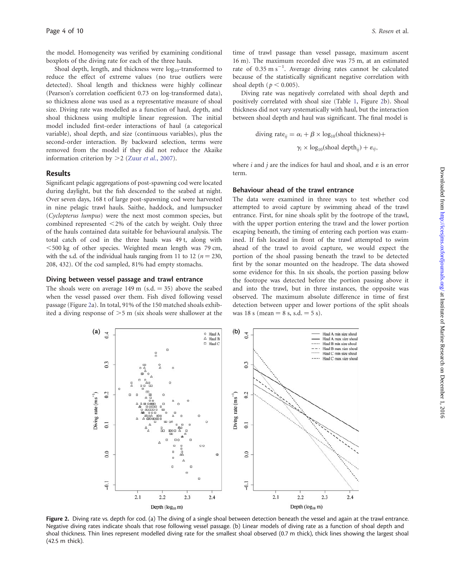the model. Homogeneity was verified by examining conditional boxplots of the diving rate for each of the three hauls.

Shoal depth, length, and thickness were  $log_{10}$ -transformed to reduce the effect of extreme values (no true outliers were detected). Shoal length and thickness were highly collinear (Pearson's correlation coefficient 0.73 on log-transformed data), so thickness alone was used as a representative measure of shoal size. Diving rate was modelled as a function of haul, depth, and shoal thickness using multiple linear regression. The initial model included first-order interactions of haul (a categorical variable), shoal depth, and size (continuous variables), plus the second-order interaction. By backward selection, terms were removed from the model if they did not reduce the Akaike information criterion by  $>2$  (Zuur et al.[, 2007\)](#page-9-0).

#### Results

Significant pelagic aggregations of post-spawning cod were located during daylight, but the fish descended to the seabed at night. Over seven days, 168 t of large post-spawning cod were harvested in nine pelagic trawl hauls. Saithe, haddock, and lumpsucker (Cyclopterus lumpus) were the next most common species, but combined represented  $\langle 2\%$  of the catch by weight. Only three of the hauls contained data suitable for behavioural analysis. The total catch of cod in the three hauls was 49 t, along with  $<$  500 kg of other species. Weighted mean length was 79 cm, with the s.d. of the individual hauls ranging from 11 to 12 ( $n = 230$ , 208, 432). Of the cod sampled, 81% had empty stomachs.

#### Diving between vessel passage and trawl entrance

The shoals were on average 149 m  $(s.d. = 35)$  above the seabed when the vessel passed over them. Fish dived following vessel passage (Figure 2a). In total, 91% of the 150 matched shoals exhibited a diving response of  $>5$  m (six shoals were shallower at the time of trawl passage than vessel passage, maximum ascent 16 m). The maximum recorded dive was 75 m, at an estimated rate of  $0.35 \text{ m s}^{-1}$ . Average diving rates cannot be calculated because of the statistically significant negative correlation with shoal depth ( $p < 0.005$ ).

Diving rate was negatively correlated with shoal depth and positively correlated with shoal size (Table [1](#page-4-0), Figure 2b). Shoal thickness did not vary systematically with haul, but the interaction between shoal depth and haul was significant. The final model is

diving rate<sub>ij</sub> = 
$$
\alpha_i + \beta \times \log_{10}(\text{should thickness}) +
$$
  
 $\gamma_i \times \log_{10}(\text{should depth}_{ij}) + \varepsilon_{ij},$ 

where  $i$  and  $j$  are the indices for haul and shoal, and  $\varepsilon$  is an error term.

#### Behaviour ahead of the trawl entrance

The data were examined in three ways to test whether cod attempted to avoid capture by swimming ahead of the trawl entrance. First, for nine shoals split by the footrope of the trawl, with the upper portion entering the trawl and the lower portion escaping beneath, the timing of entering each portion was examined. If fish located in front of the trawl attempted to swim ahead of the trawl to avoid capture, we would expect the portion of the shoal passing beneath the trawl to be detected first by the sonar mounted on the headrope. The data showed some evidence for this. In six shoals, the portion passing below the footrope was detected before the portion passing above it and into the trawl, but in three instances, the opposite was observed. The maximum absolute difference in time of first detection between upper and lower portions of the split shoals was 18 s (mean  $= 8$  s, s.d.  $= 5$  s).



Figure 2. Diving rate vs. depth for cod. (a) The diving of a single shoal between detection beneath the vessel and again at the trawl entrance. Negative diving rates indicate shoals that rose following vessel passage. (b) Linear models of diving rate as a function of shoal depth and shoal thickness. Thin lines represent modelled diving rate for the smallest shoal observed (0.7 m thick), thick lines showing the largest shoal (42.5 m thick).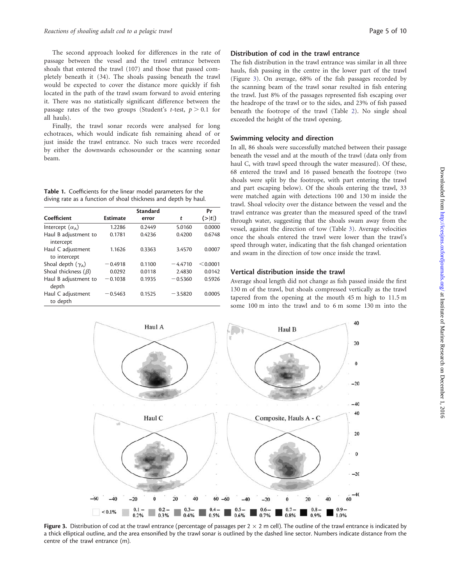<span id="page-4-0"></span>The second approach looked for differences in the rate of passage between the vessel and the trawl entrance between shoals that entered the trawl (107) and those that passed completely beneath it (34). The shoals passing beneath the trawl would be expected to cover the distance more quickly if fish located in the path of the trawl swam forward to avoid entering it. There was no statistically significant difference between the passage rates of the two groups (Student's t-test,  $p > 0.1$  for all hauls).

Finally, the trawl sonar records were analysed for long echotraces, which would indicate fish remaining ahead of or just inside the trawl entrance. No such traces were recorded by either the downwards echosounder or the scanning sonar beam.

Table 1. Coefficients for the linear model parameters for the diving rate as a function of shoal thickness and depth by haul.

|                                   |                 | <b>Standard</b> |           | Pr       |
|-----------------------------------|-----------------|-----------------|-----------|----------|
| Coefficient                       | <b>Estimate</b> | error           | t         | (> t )   |
| Intercept $(\alpha_{A})$          | 1.2286          | 0.2449          | 5.0160    | 0.0000   |
| Haul B adjustment to<br>intercept | 0.1781          | 0.4236          | 0.4200    | 0.6748   |
| Haul C adjustment<br>to intercept | 1.1626          | 0.3363          | 3.4570    | 0.0007   |
| Shoal depth $(\gamma_A)$          | $-0.4918$       | 0.1100          | $-4.4710$ | < 0.0001 |
| Shoal thickness $(\beta)$         | 0.0292          | 0.0118          | 2.4830    | 0.0142   |
| Haul B adjustment to<br>depth     | $-0.1038$       | 0.1935          | $-0.5360$ | 0.5926   |
| Haul C adjustment<br>to depth     | $-0.5463$       | 0.1525          | $-3.5820$ | 0.0005   |

# Distribution of cod in the trawl entrance

The fish distribution in the trawl entrance was similar in all three hauls, fish passing in the centre in the lower part of the trawl (Figure 3). On average, 68% of the fish passages recorded by the scanning beam of the trawl sonar resulted in fish entering the trawl. Just 8% of the passages represented fish escaping over the headrope of the trawl or to the sides, and 23% of fish passed beneath the footrope of the trawl (Table [2\)](#page-5-0). No single shoal exceeded the height of the trawl opening.

#### Swimming velocity and direction

In all, 86 shoals were successfully matched between their passage beneath the vessel and at the mouth of the trawl (data only from haul C, with trawl speed through the water measured). Of these, 68 entered the trawl and 16 passed beneath the footrope (two shoals were split by the footrope, with part entering the trawl and part escaping below). Of the shoals entering the trawl, 33 were matched again with detections 100 and 130 m inside the trawl. Shoal velocity over the distance between the vessel and the trawl entrance was greater than the measured speed of the trawl through water, suggesting that the shoals swam away from the vessel, against the direction of tow (Table [3](#page-5-0)). Average velocities once the shoals entered the trawl were lower than the trawl's speed through water, indicating that the fish changed orientation and swam in the direction of tow once inside the trawl.

# Vertical distribution inside the trawl

Average shoal length did not change as fish passed inside the first 130 m of the trawl, but shoals compressed vertically as the trawl tapered from the opening at the mouth 45 m high to 11.5 m some 100 m into the trawl and to 6 m some 130 m into the



**Figure 3.** Distribution of cod at the trawl entrance (percentage of passages per  $2 \times 2$  m cell). The outline of the trawl entrance is indicated by a thick elliptical outline, and the area ensonified by the trawl sonar is outlined by the dashed line sector. Numbers indicate distance from the centre of the trawl entrance (m).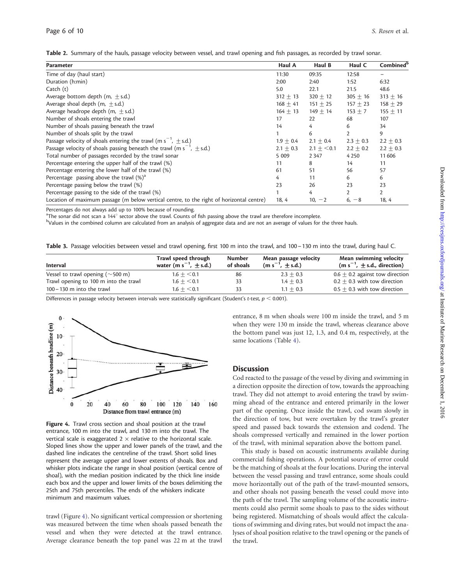<span id="page-5-0"></span>Table 2. Summary of the hauls, passage velocity between vessel, and trawl opening and fish passages, as recorded by trawl sonar.

| Parameter                                                                                | Haul A        | Haul B             | Haul C         | Combined <sup>t</sup> |
|------------------------------------------------------------------------------------------|---------------|--------------------|----------------|-----------------------|
| Time of day (haul start)                                                                 | 11:30         | 09:35              | 12:58          |                       |
| Duration (h:min)                                                                         | 2:00          | 2:40               | 1:52           | 6:32                  |
| Catch $(t)$                                                                              | 5.0           | 22.1               | 21.5           | 48.6                  |
| Average bottom depth (m, $\pm$ s.d.)                                                     | $312 + 13$    | $320 + 12$         | $305 + 16$     | $313 + 16$            |
| Average shoal depth (m, $\pm$ s.d.)                                                      | $168 + 41$    | $151 + 25$         | $157 + 23$     | $158 + 29$            |
| Average headrope depth (m, $\pm$ s.d.)                                                   | $164 + 13$    | $149 + 14$         | $153 + 7$      | $155 \pm 11$          |
| Number of shoals entering the trawl                                                      | 17            | 22                 | 68             | 107                   |
| Number of shoals passing beneath the trawl                                               | 14            | 4                  | 6              | 34                    |
| Number of shoals split by the trawl                                                      |               | 6                  | $\overline{2}$ | 9                     |
| Passage velocity of shoals entering the trawl (m s <sup>-1</sup> , $\pm$ s.d.)           | $1.9 + 0.4$   | $2.1 \pm 0.4$      | $2.3 \pm 0.3$  | $2.2 \pm 0.3$         |
| Passage velocity of shoals passing beneath the trawl (m s <sup>-1</sup> , $\pm$ s.d.)    | $2.1 \pm 0.3$ | $2.1 \pm \leq 0.1$ | $2.2 + 0.2$    | $2.2 \pm 0.3$         |
| Total number of passages recorded by the trawl sonar                                     | 5 0 0 9       | 2 3 4 7            | 4 2 5 0        | 11 606                |
| Percentage entering the upper half of the trawl (%)                                      | 11            | 8                  | 14             | 11                    |
| Percentage entering the lower half of the trawl (%)                                      | 61            | 51                 | 56             | 57                    |
| Percentage passing above the trawl $(\%)^a$                                              | 4             | 11                 | 6              | 6                     |
| Percentage passing below the trawl (%)                                                   | 23            | 26                 | 23             | 23                    |
| Percentage passing to the side of the trawl (%)                                          |               | 4                  | 2              | $\overline{2}$        |
| Location of maximum passage (m below vertical centre, to the right of horizontal centre) | 18, 4         | $10, -2$           | $6, -8$        | 18, 4                 |

Percentages do not always add up to 100% because of rounding.

The sonar did not scan a 144 $\degree$  sector above the trawl. Counts of fish passing above the trawl are therefore incomplete.<br>Byolves in the combined column are calculated from an applyis of aggregate data and are not an aver

<sup>b</sup>Values in the combined column are calculated from an analysis of aggregate data and are not an average of values for the three hauls.

Table 3. Passage velocities between vessel and trawl opening, first 100 m into the trawl, and 100–130 m into the trawl, during haul C.

| <b>Interval</b>                         | Trawl speed through<br>water (m $s^{-1}$ , + s.d.) | <b>Number</b><br>of shoals | Mean passage velocity<br>$(m s^{-1} + s.d.)$ | Mean swimming velocity<br>(m s <sup>-1</sup> , $\pm$ s.d., direction) |
|-----------------------------------------|----------------------------------------------------|----------------------------|----------------------------------------------|-----------------------------------------------------------------------|
| Vessel to trawl opening ( $\sim$ 500 m) | $1.6 + \le 0.1$                                    | 86                         | $2.3 + 0.3$                                  | $0.6 \pm 0.2$ against tow direction                                   |
| Trawl opening to 100 m into the trawl   | $1.6 + \le 0.1$                                    | 33                         | $1.4 + 0.3$                                  | $0.2 + 0.3$ with tow direction                                        |
| $100 - 130$ m into the trawl            | $1.6 + \leq 0.1$                                   | 33                         | $1.1 + 0.3$                                  | $0.5 + 0.3$ with tow direction                                        |

Differences in passage velocity between intervals were statistically significant (Student's t-test,  $p < 0.001$ ).



Figure 4. Trawl cross section and shoal position at the trawl entrance, 100 m into the trawl, and 130 m into the trawl. The vertical scale is exaggerated  $2 \times$  relative to the horizontal scale. Sloped lines show the upper and lower panels of the trawl, and the dashed line indicates the centreline of the trawl. Short solid lines represent the average upper and lower extents of shoals. Box and whisker plots indicate the range in shoal position (vertical centre of shoal), with the median position indicated by the thick line inside each box and the upper and lower limits of the boxes delimiting the 25th and 75th percentiles. The ends of the whiskers indicate minimum and maximum values.

trawl (Figure 4). No significant vertical compression or shortening was measured between the time when shoals passed beneath the vessel and when they were detected at the trawl entrance. Average clearance beneath the top panel was 22 m at the trawl

entrance, 8 m when shoals were 100 m inside the trawl, and 5 m when they were 130 m inside the trawl, whereas clearance above the bottom panel was just 12, 1.3, and 0.4 m, respectively, at the same locations (Table [4\)](#page-6-0).

### **Discussion**

Cod reacted to the passage of the vessel by diving and swimming in a direction opposite the direction of tow, towards the approaching trawl. They did not attempt to avoid entering the trawl by swimming ahead of the entrance and entered primarily in the lower part of the opening. Once inside the trawl, cod swam slowly in the direction of tow, but were overtaken by the trawl's greater speed and passed back towards the extension and codend. The shoals compressed vertically and remained in the lower portion of the trawl, with minimal separation above the bottom panel.

This study is based on acoustic instruments available during commercial fishing operations. A potential source of error could be the matching of shoals at the four locations. During the interval between the vessel passing and trawl entrance, some shoals could move horizontally out of the path of the trawl-mounted sensors, and other shoals not passing beneath the vessel could move into the path of the trawl. The sampling volume of the acoustic instruments could also permit some shoals to pass to the sides without being registered. Mismatching of shoals would affect the calculations of swimming and diving rates, but would not impact the analyses of shoal position relative to the trawl opening or the panels of the trawl.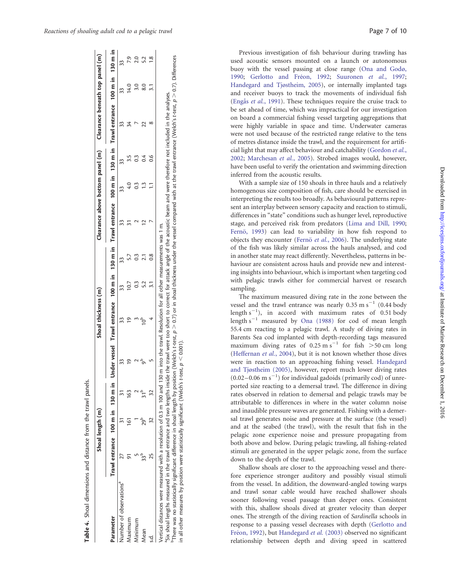<span id="page-6-0"></span>

|                                                                                                                                                                                                                                                                                                                                                            |     | Shoal length (m) |               | Shoal thickness (m) |      | Clearance above bottom panel (m)                                                                                                        |  | Clearance beneath top panel (m) |               |     |
|------------------------------------------------------------------------------------------------------------------------------------------------------------------------------------------------------------------------------------------------------------------------------------------------------------------------------------------------------------|-----|------------------|---------------|---------------------|------|-----------------------------------------------------------------------------------------------------------------------------------------|--|---------------------------------|---------------|-----|
| Parameter                                                                                                                                                                                                                                                                                                                                                  |     |                  |               |                     |      | Trawl entrance 100 m in 130 m in Under vessel Trawl entrance 100 m in 130 m in Trawl entrance 100 m in Trawl entrance 100 m in 130 m in |  |                                 |               |     |
| Jumber of observations <sup>4</sup>                                                                                                                                                                                                                                                                                                                        |     |                  |               |                     |      |                                                                                                                                         |  |                                 |               |     |
| Maximum                                                                                                                                                                                                                                                                                                                                                    |     | 161              | 163           | ᡡ                   | 10.7 |                                                                                                                                         |  |                                 | $\frac{0}{4}$ | 7.9 |
| <b>Ainimum</b>                                                                                                                                                                                                                                                                                                                                             |     |                  |               |                     |      |                                                                                                                                         |  |                                 |               |     |
| Mean                                                                                                                                                                                                                                                                                                                                                       | 33° | $29^{\circ}$     | $\frac{1}{2}$ | $10^{\circ}$        |      |                                                                                                                                         |  |                                 |               | 52  |
| č                                                                                                                                                                                                                                                                                                                                                          |     |                  |               |                     |      |                                                                                                                                         |  |                                 |               | œ.  |
| <sup>8</sup> Sx shoal lengths measured in the trawl entrance and two lengths inside the trawl were too short to correct for attack angle of the acoustic beam and were therefore not included in the analyses.<br>/ertical distances were measured with a resolution of 0.3 m 100 and 130 m into the trawl. Resolution for all other measurements was 1 m. |     |                  |               |                     |      |                                                                                                                                         |  |                                 |               |     |

Table 4. Shoal dimensions and distance from the trawl panels Shoal dimensions and distance from the trawl panels.  $^{\sf b}$ There was no statistically significant difference in shoal length by position (Welch's t-test, p  $>$  0.7) or in shoal thickness under the vessel compared with at the trawl entrance (Welch's t-test, p  $>$  0.7). Diff  $^{\rm b}$ There was no statistically significant difference in shoal length by position (Welch's t-test,  $p > 0.7)$  or in shoal thickness under the vessel compared with at the trawl entrance (Welch's t-test,  $p > 0.7$ ). Differ in all other measures by position were statistically significant (Welch's t-test,  $p < 0.001$ ). in all other measures by position were statistically significant (Welch's t-test,  $p < 0.001$ ).

Previous investigation of fish behaviour during trawling has used acoustic sensors mounted on a launch or autonomous buoy with the vessel passing at close range ([Ona and Godø,](#page-9-0) [1990](#page-9-0); Gerlotto and Fréon, 1992; [Suuronen](#page-9-0) et al., 1997; [Handegard and Tjøstheim, 2005](#page-9-0)), or internally implanted tags and receiver buoys to track the movements of individual fish (Engås et al.[, 1991\)](#page-8-0). These techniques require the cruise track to be set ahead of time, which was impractical for our investigation on board a commercial fishing vessel targeting aggregations that were highly variable in space and time. Underwater cameras were not used because of the restricted range relative to the tens of metres distance inside the trawl, and the requirement for artificial light that may affect behaviour and catchability [\(Gordon](#page-8-0) et al., [2002](#page-8-0); [Marchesan](#page-9-0) et al., 2005). Strobed images would, however, have been useful to verify the orientation and swimming direction inferred from the acoustic results.

With a sample size of 150 shoals in three hauls and a relatively homogenous size composition of fish, care should be exercised in interpreting the results too broadly. As behavioural patterns represent an interplay between sensory capacity and reaction to stimuli, differences in "state" conditions such as hunger level, reproductive stage, and perceived risk from predators [\(Lima and Dill, 1990](#page-9-0) ; Fernö, 1993) can lead to variability in how fish respond to objects they encounter (Fernö et al.[, 2006\)](#page-8-0). The underlying state of the fish was likely similar across the hauls analysed, and cod in another state may react differently. Nevertheless, patterns in behaviour are consistent across hauls and provide new and interesting insights into behaviour, which is important when targeting cod with pelagic trawls either for commercial harvest or research sampling.

The maximum measured diving rate in the zone between the vessel and the trawl entrance was nearly  $0.35$  m s<sup>-1</sup> (0.44 body length  $s^{-1}$ ), in accord with maximum rates of 0.51 body length  $s^{-1}$  measured by [Ona \(1988\)](#page-9-0) for cod of mean length 55.4 cm reacting to a pelagic trawl. A study of diving rates in Barents Sea cod implanted with depth-recording tags measured maximum diving rates of  $0.25 \text{ m s}^{-1}$  for fish  $>50 \text{ cm}$  long [\(Heffernan](#page-9-0) et al., 2004), but it is not known whether those dives were in reaction to an approaching fishing vessel. [Handegard](#page-9-0) [and Tjøstheim \(2005\),](#page-9-0) however, report much lower diving rates  $(0.02 - 0.06 \text{ m s}^{-1})$  for individual gadoids (primarily cod) of unreported size reacting to a demersal trawl. The difference in diving rates observed in relation to demersal and pelagic trawls may be attributable to differences in where in the water column noise and inaudible pressure waves are generated. Fishing with a demersal trawl generates noise and pressure at the surface (the vessel) and at the seabed (the trawl), with the result that fish in the pelagic zone experience noise and pressure propagating from both above and below. During pelagic trawling, all fishing-related stimuli are generated in the upper pelagic zone, from the surface down to the depth of the trawl.

Shallow shoals are closer to the approaching vessel and therefore experience stronger auditory and possibly visual stimuli from the vessel. In addition, the downward-angled towing warps and trawl sonar cable would have reached shallower shoals sooner following vessel passage than deeper ones. Consistent with this, shallow shoals dived at greater velocity than deeper ones. The strength of the diving reaction of Sardinella schools in response to a passing vessel decreases with depth [\(Gerlotto and](#page-8-0) Fréon, 1992), but [Handegard](#page-9-0) et al. (2003) observed no significant relationship between depth and diving speed in scattered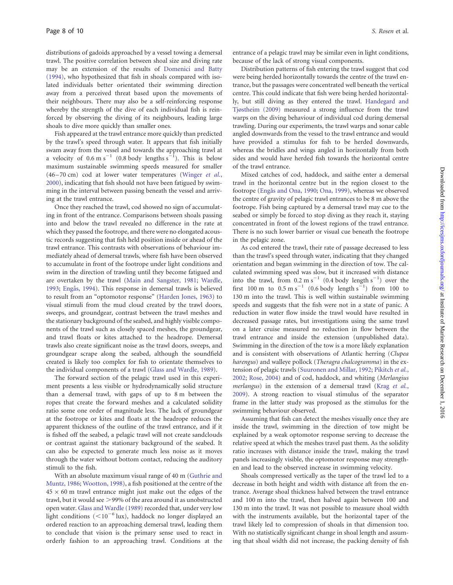distributions of gadoids approached by a vessel towing a demersal trawl. The positive correlation between shoal size and diving rate may be an extension of the results of [Domenici and Batty](#page-8-0) [\(1994\)](#page-8-0), who hypothesized that fish in shoals compared with isolated individuals better orientated their swimming direction away from a perceived threat based upon the movements of their neighbours. There may also be a self-reinforcing response whereby the strength of the dive of each individual fish is reinforced by observing the diving of its neighbours, leading large shoals to dive more quickly than smaller ones.

Fish appeared at the trawl entrance more quickly than predicted by the trawl's speed through water. It appears that fish initially swam away from the vessel and towards the approaching trawl at a velocity of  $0.6 \text{ m s}^{-1}$   $(0.8 \text{ body lengths s}^{-1})$ . This is below maximum sustainable swimming speeds measured for smaller (46–70 cm) cod at lower water temperatures ([Winger](#page-9-0) et al., [2000\)](#page-9-0), indicating that fish should not have been fatigued by swimming in the interval between passing beneath the vessel and arriving at the trawl entrance.

Once they reached the trawl, cod showed no sign of accumulating in front of the entrance. Comparisons between shoals passing into and below the trawl revealed no difference in the rate at which they passed the footrope, and there were no elongated acoustic records suggesting that fish held position inside or ahead of the trawl entrance. This contrasts with observations of behaviour immediately ahead of demersal trawls, where fish have been observed to accumulate in front of the footrope under light conditions and swim in the direction of trawling until they become fatigued and are overtaken by the trawl [\(Main and Sangster, 1981;](#page-9-0) [Wardle,](#page-9-0) [1993;](#page-9-0) Engås, 1994). This response in demersal trawls is believed to result from an "optomotor response" [\(Harden Jones, 1963\)](#page-9-0) to visual stimuli from the mud cloud created by the trawl doors, sweeps, and groundgear, contrast between the trawl meshes and the stationary background of the seabed, and highly visible components of the trawl such as closely spaced meshes, the groundgear, and trawl floats or kites attached to the headrope. Demersal trawls also create significant noise as the trawl doors, sweeps, and groundgear scrape along the seabed, although the soundfield created is likely too complex for fish to orientate themselves to the individual components of a trawl [\(Glass and Wardle, 1989\)](#page-8-0).

The forward section of the pelagic trawl used in this experiment presents a less visible or hydrodynamically solid structure than a demersal trawl, with gaps of up to 8 m between the ropes that create the forward meshes and a calculated solidity ratio some one order of magnitude less. The lack of groundgear at the footrope or kites and floats at the headrope reduces the apparent thickness of the outline of the trawl entrance, and if it is fished off the seabed, a pelagic trawl will not create sandclouds or contrast against the stationary background of the seabed. It can also be expected to generate much less noise as it moves through the water without bottom contact, reducing the auditory stimuli to the fish.

With an absolute maximum visual range of 40 m [\(Guthrie and](#page-9-0) [Muntz, 1986;](#page-9-0) [Wootton, 1998\)](#page-9-0), a fish positioned at the centre of the  $45 \times 60$  m trawl entrance might just make out the edges of the trawl, but it would see  $>$ 99% of the area around it as unobstructed open water. [Glass and Wardle \(1989\)](#page-8-0) recorded that, under very low light conditions ( $< 10^{-6}$  lux), haddock no longer displayed an ordered reaction to an approaching demersal trawl, leading them to conclude that vision is the primary sense used to react in orderly fashion to an approaching trawl. Conditions at the

entrance of a pelagic trawl may be similar even in light conditions, because of the lack of strong visual components.

Distribution patterns of fish entering the trawl suggest that cod were being herded horizontally towards the centre of the trawl entrance, but the passages were concentrated well beneath the vertical centre. This could indicate that fish were being herded horizontally, but still diving as they entered the trawl. [Handegard and](#page-9-0) [Tjøstheim \(2009\)](#page-9-0) measured a strong influence from the trawl warps on the diving behaviour of individual cod during demersal trawling. During our experiments, the trawl warps and sonar cable angled downwards from the vessel to the trawl entrance and would have provided a stimulus for fish to be herded downwards, whereas the bridles and wings angled in horizontally from both sides and would have herded fish towards the horizontal centre of the trawl entrance.

Mixed catches of cod, haddock, and saithe enter a demersal trawl in the horizontal centre but in the region closest to the footrope (Engås and Ona, 1990; [Ona, 1999\)](#page-9-0), whereas we observed the centre of gravity of pelagic trawl entrances to be 8 m above the footrope. Fish being captured by a demersal trawl may cue to the seabed or simply be forced to stop diving as they reach it, staying concentrated in front of the lowest regions of the trawl entrance. There is no such lower barrier or visual cue beneath the footrope in the pelagic zone.

As cod entered the trawl, their rate of passage decreased to less than the trawl's speed through water, indicating that they changed orientation and began swimming in the direction of tow. The calculated swimming speed was slow, but it increased with distance into the trawl, from  $0.2 \text{ m s}^{-1}$   $(0.4 \text{ body length s}^{-1})$  over the first 100 m to  $0.5 \text{ m s}^{-1}$  (0.6 body length s<sup>-1</sup>) from 100 to 130 m into the trawl. This is well within sustainable swimming speeds and suggests that the fish were not in a state of panic. A reduction in water flow inside the trawl would have resulted in decreased passage rates, but investigations using the same trawl on a later cruise measured no reduction in flow between the trawl entrance and inside the extension (unpublished data). Swimming in the direction of the tow is a more likely explanation and is consistent with observations of Atlantic herring (Clupea harengus) and walleye pollock (Theragra chalcogramma) in the extension of pelagic trawls ([Suuronen and Millar, 1992](#page-9-0); [Pikitch](#page-9-0) et al., [2002;](#page-9-0) [Rose, 2004](#page-9-0)) and of cod, haddock, and whiting (Merlangius merlangus) in the extension of a demersal trawl (Krag [et al.](#page-9-0), [2009\)](#page-9-0). A strong reaction to visual stimulus of the separator frame in the latter study was proposed as the stimulus for the swimming behaviour observed.

Assuming that fish can detect the meshes visually once they are inside the trawl, swimming in the direction of tow might be explained by a weak optomotor response serving to decrease the relative speed at which the meshes travel past them. As the solidity ratio increases with distance inside the trawl, making the trawl panels increasingly visible, the optomotor response may strengthen and lead to the observed increase in swimming velocity.

Shoals compressed vertically as the taper of the trawl led to a decrease in both height and width with distance aft from the entrance. Average shoal thickness halved between the trawl entrance and 100 m into the trawl, then halved again between 100 and 130 m into the trawl. It was not possible to measure shoal width with the instruments available, but the horizontal taper of the trawl likely led to compression of shoals in that dimension too. With no statistically significant change in shoal length and assuming that shoal width did not increase, the packing density of fish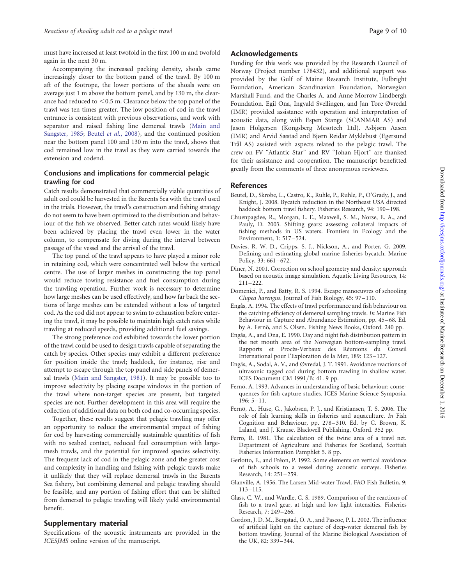<span id="page-8-0"></span>must have increased at least twofold in the first 100 m and twofold again in the next 30 m.

Accompanying the increased packing density, shoals came increasingly closer to the bottom panel of the trawl. By 100 m aft of the footrope, the lower portions of the shoals were on average just 1 m above the bottom panel, and by 130 m, the clearance had reduced to  $<$  0.5 m. Clearance below the top panel of the trawl was ten times greater. The low position of cod in the trawl entrance is consistent with previous observations, and work with separator and raised fishing line demersal trawls [\(Main and](#page-9-0) [Sangster, 1985](#page-9-0); Beutel et al., 2008), and the continued position near the bottom panel 100 and 130 m into the trawl, shows that cod remained low in the trawl as they were carried towards the extension and codend.

# Conclusions and implications for commercial pelagic trawling for cod

Catch results demonstrated that commercially viable quantities of adult cod could be harvested in the Barents Sea with the trawl used in the trials. However, the trawl's construction and fishing strategy do not seem to have been optimized to the distribution and behaviour of the fish we observed. Better catch rates would likely have been achieved by placing the trawl even lower in the water column, to compensate for diving during the interval between passage of the vessel and the arrival of the trawl.

The top panel of the trawl appears to have played a minor role in retaining cod, which were concentrated well below the vertical centre. The use of larger meshes in constructing the top panel would reduce towing resistance and fuel consumption during the trawling operation. Further work is necessary to determine how large meshes can be used effectively, and how far back the sections of large meshes can be extended without a loss of targeted cod. As the cod did not appear to swim to exhaustion before entering the trawl, it may be possible to maintain high catch rates while trawling at reduced speeds, providing additional fuel savings.

The strong preference cod exhibited towards the lower portion of the trawl could be used to design trawls capable of separating the catch by species. Other species may exhibit a different preference for position inside the trawl; haddock, for instance, rise and attempt to escape through the top panel and side panels of demersal trawls ([Main and Sangster, 1981](#page-9-0)). It may be possible too to improve selectivity by placing escape windows in the portion of the trawl where non-target species are present, but targeted species are not. Further development in this area will require the collection of additional data on both cod and co-occurring species.

Together, these results suggest that pelagic trawling may offer an opportunity to reduce the environmental impact of fishing for cod by harvesting commercially sustainable quantities of fish with no seabed contact, reduced fuel consumption with largemesh trawls, and the potential for improved species selectivity. The frequent lack of cod in the pelagic zone and the greater cost and complexity in handling and fishing with pelagic trawls make it unlikely that they will replace demersal trawls in the Barents Sea fishery, but combining demersal and pelagic trawling should be feasible, and any portion of fishing effort that can be shifted from demersal to pelagic trawling will likely yield environmental benefit.

# Supplementary material

[Specifications of the acoustic instruments are provided in the](http://icesjms.oxfordjournals.org/lookup/suppl/doi:10.1093/icesjms/fsr199/-/DC1) ICESJMS [online version of the manuscript](http://icesjms.oxfordjournals.org/lookup/suppl/doi:10.1093/icesjms/fsr199/-/DC1).

## Acknowledgements

Funding for this work was provided by the Research Council of Norway (Project number 178432), and additional support was provided by the Gulf of Maine Research Institute, Fulbright Foundation, American Scandinavian Foundation, Norwegian Marshall Fund, and the Charles A. and Anne Morrow Lindbergh Foundation. Egil Ona, Ingvald Svellingen, and Jan Tore Øvredal (IMR) provided assistance with operation and interpretation of acoustic data, along with Espen Stange (SCANMAR AS) and Jason Holgersen (Kongsberg Mesotech Ltd). Asbjørn Aasen (IMR) and Arvid Sæstad and Bjørn Reidar Myklebust (Egersund Trål AS) assisted with aspects related to the pelagic trawl. The crew on FV "Atlantic Star" and RV "Johan Hjort" are thanked for their assistance and cooperation. The manuscript benefitted greatly from the comments of three anonymous reviewers.

# References

- Beutel, D., Skrobe, L., Castro, K., Ruhle, P., Ruhle, P., O'Grady, J., and Knight, J. 2008. Bycatch reduction in the Northeast USA directed haddock bottom trawl fishery. Fisheries Research, 94: 190-198.
- Chuenpagdee, R., Morgan, L. E., Maxwell, S. M., Norse, E. A., and Pauly, D. 2003. Shifting gears: assessing collateral impacts of fishing methods in US waters. Frontiers in Ecology and the Environment, 1: 517 –524.
- Davies, R. W. D., Cripps, S. J., Nickson, A., and Porter, G. 2009. Defining and estimating global marine fisheries bycatch. Marine Policy, 33: 661 –672.
- Diner, N. 2001. Correction on school geometry and density: approach based on acoustic image simulation. Aquatic Living Resources, 14: 211–222.
- Domenici, P., and Batty, R. S. 1994. Escape manoeuvres of schooling Clupea harengus. Journal of Fish Biology, 45: 97 –110.
- Engås, A. 1994. The effects of trawl performance and fish behaviour on the catching efficiency of demersal sampling trawls. In Marine Fish Behaviour in Capture and Abundance Estimation, pp. 45 –68. Ed. by A. Fernö, and S. Olsen. Fishing News Books, Oxford. 240 pp.
- Engås, A., and Ona, E. 1990. Day and night fish distribution pattern in the net mouth area of the Norwegian bottom-sampling trawl. Rapports et Procès-Verbaux des Réunions du Conseil International pour l'Exploration de la Mer, 189: 123-127.
- Engås, A., Sodal, A. V., and Øvredal, J. T. 1991. Avoidance reactions of ultrasonic tagged cod during bottom trawling in shallow water. ICES Document CM 1991/B: 41. 9 pp.
- Fernö, A. 1993. Advances in understanding of basic behaviour: consequences for fish capture studies. ICES Marine Science Symposia,  $196: 5 - 11.$
- Fernö, A., Huse, G., Jakobsen, P. J., and Kristiansen, T. S. 2006. The role of fish learning skills in fisheries and aquaculture. In Fish Cognition and Behaviour, pp. 278–310. Ed. by C. Brown, K. Laland, and J. Krause. Blackwell Publishing, Oxford. 352 pp.
- Ferro, R. 1981. The calculation of the twine area of a trawl net. Department of Agriculture and Fisheries for Scotland, Scottish Fisheries Information Pamphlet 5. 8 pp.
- Gerlotto, F., and Fréon, P. 1992. Some elements on vertical avoidance of fish schools to a vessel during acoustic surveys. Fisheries Research, 14: 251–259.
- Glanville, A. 1956. The Larsen Mid-water Trawl. FAO Fish Bulletin, 9: 113–115.
- Glass, C. W., and Wardle, C. S. 1989. Comparison of the reactions of fish to a trawl gear, at high and low light intensities. Fisheries Research, 7: 249–266.
- Gordon, J. D. M., Bergstad, O. A., and Pascoe, P. L. 2002. The influence of artificial light on the capture of deep-water demersal fish by bottom trawling. Journal of the Marine Biological Association of the UK, 82: 339–344.